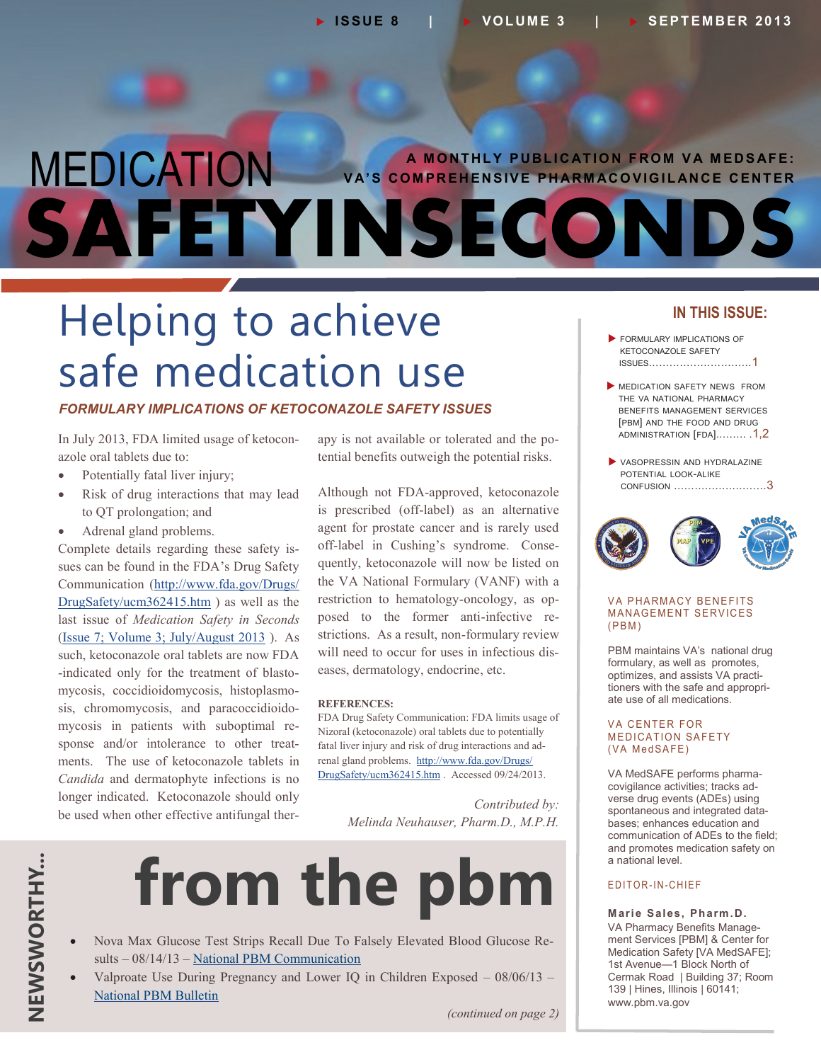### MEDICATION **SAFETYINSECONDS A MONTHLY PUBLICATION FROM VA MEDSAFE: VA'S COMPREHENSIVE PHARMACOVIGILANCE CENTER**

# Helping to achieve safe medication use

#### *FORMULARY IMPLICATIONS OF KETOCONAZOLE SAFETY ISSUES*

In July 2013, FDA limited usage of ketoconazole oral tablets due to:

- Potentially fatal liver injury;
- Risk of drug interactions that may lead to QT prolongation; and
- Adrenal gland problems.

Complete details regarding these safety issues can be found in the FDA's Drug Safety Communication [\(http://www.fda.gov/Drugs/](http://www.fda.gov/Drugs/DrugSafety/ucm362415.htm) [DrugSafety/ucm362415.htm](http://www.fda.gov/Drugs/DrugSafety/ucm362415.htm) ) as well as the last issue of *Medication Safety in Seconds* [\(Issue 7; Volume 3; July/August 2013](http://www.pbm.va.gov/PBM/vacenterformedicationsafety/newsletter/Medication_Safety_in_Seconds_July_Aug_2013_FINAL.PDF) ). As such, ketoconazole oral tablets are now FDA -indicated only for the treatment of blastomycosis, coccidioidomycosis, histoplasmosis, chromomycosis, and paracoccidioidomycosis in patients with suboptimal response and/or intolerance to other treatments. The use of ketoconazole tablets in *Candida* and dermatophyte infections is no longer indicated. Ketoconazole should only be used when other effective antifungal therapy is not available or tolerated and the potential benefits outweigh the potential risks.

Although not FDA-approved, ketoconazole is prescribed (off-label) as an alternative agent for prostate cancer and is rarely used off-label in Cushing's syndrome. Consequently, ketoconazole will now be listed on the VA National Formulary (VANF) with a restriction to hematology-oncology, as opposed to the former anti-infective restrictions. As a result, non-formulary review will need to occur for uses in infectious diseases, dermatology, endocrine, etc.

#### **REFERENCES:**

FDA Drug Safety Communication: FDA limits usage of Nizoral (ketoconazole) oral tablets due to potentially fatal liver injury and risk of drug interactions and adrenal gland problems. [http://www.fda.gov/Drugs/](http://www.fda.gov/Drugs/DrugSafety/ucm362415.htm) [DrugSafety/ucm362415.htm](http://www.fda.gov/Drugs/DrugSafety/ucm362415.htm) . Accessed 09/24/2013.

> *Contributed by: Melinda Neuhauser, Pharm.D., M.P.H.*



- Nova Max Glucose Test Strips Recall Due To Falsely Elevated Blood Glucose Results – 08/14/13 – [National PBM Communication](http://www.pbm.va.gov/PBM/vacenterformedicationsafety/nationalpbmcommunication/Nova_Max_Glucose_Test_Strips_NATIONAL_PBM_COMMUNICATION_081413_FINAL.PDF)
- Valproate Use During Pregnancy and Lower IQ in Children Exposed 08/06/13 [National PBM Bulletin](http://www.pbm.va.gov/PBM/vacenterformedicationsafety/nationalpbmbulletin/Valproate_Use_During_Pregnancy_and_Lower_IQ_in_Children_Exposed.pdf)

#### **IN THIS ISSUE:**

- **FORMULARY IMPLICATIONS OF** KETOCONAZOLE SAFETY ISSUES…………………………1
- **MEDICATION SAFETY NEWS FROM** THE VA NATIONAL PHARMACY BENEFITS MANAGEMENT SERVICES [PBM] AND THE FOOD AND DRUG ADMINISTRATION [FDA]..……. .1,2
- VASOPRESSIN AND HYDRALAZINE POTENTIAL LOOK-ALIKE CONFUSION [………………………](#page-2-0)3



#### VA PHARMACY BENEFITS **MANAGEMENT SERVICES**  $(PBM)$

PBM maintains VA's national drug formulary, as well as promotes, optimizes, and assists VA practitioners with the safe and appropriate use of all medications.

#### **VA CENTER FOR MEDICATION SAFETY** (VA MedSAFE)

VA MedSAFE performs pharmacovigilance activities; tracks adverse drug events (ADEs) using spontaneous and integrated databases; enhances education and communication of ADEs to the field; and promotes medication safety on a national level.

#### E D I T O R - I N - C H I E F

**Marie Sales, Pharm.D.** VA Pharmacy Benefits Management Services [PBM] & Center for Medication Safety [VA MedSAFE]; 1st Avenue—1 Block North of Cermak Road | Building 37; Room 139 | Hines, Illinois | 60141; [www.pbm.va.gov](http://www.pbm.va.gov)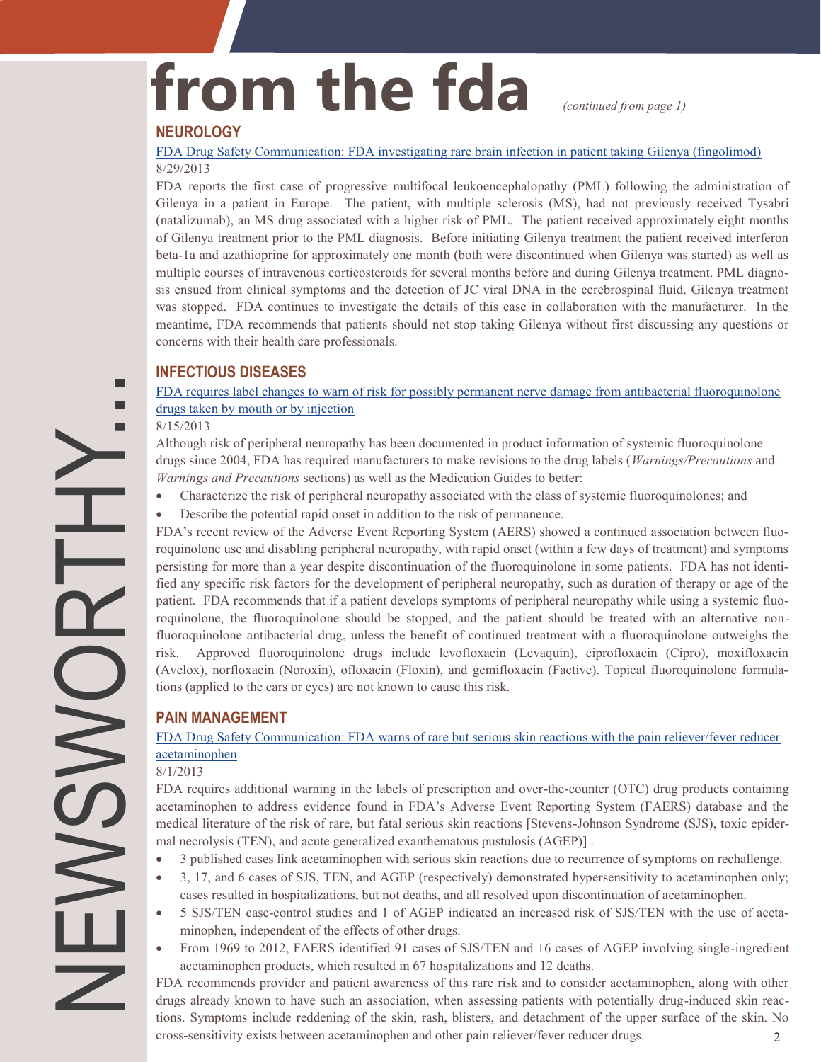# from the fda *continued from page 1***)**

#### **NEUROLOGY**

[FDA Drug Safety Communication: FDA investigating rare brain infection in patient taking Gilenya \(fingolimod\)](http://www.fda.gov/Drugs/DrugSafety/ucm366529.htm) 8/29/2013

FDA reports the first case of progressive multifocal leukoencephalopathy (PML) following the administration of Gilenya in a patient in Europe. The patient, with multiple sclerosis (MS), had not previously received Tysabri (natalizumab), an MS drug associated with a higher risk of PML. The patient received approximately eight months of Gilenya treatment prior to the PML diagnosis. Before initiating Gilenya treatment the patient received interferon beta-1a and azathioprine for approximately one month (both were discontinued when Gilenya was started) as well as multiple courses of intravenous corticosteroids for several months before and during Gilenya treatment. PML diagnosis ensued from clinical symptoms and the detection of JC viral DNA in the cerebrospinal fluid. Gilenya treatment was stopped. FDA continues to investigate the details of this case in collaboration with the manufacturer. In the meantime, FDA recommends that patients should not stop taking Gilenya without first discussing any questions or concerns with their health care professionals.

#### **INFECTIOUS DISEASES**

[FDA requires label changes to warn of risk for possibly permanent nerve damage from antibacterial fluoroquinolone](http://www.fda.gov/Drugs/DrugSafety/ucm365050.htm)  [drugs taken by mouth or by injection](http://www.fda.gov/Drugs/DrugSafety/ucm365050.htm)

#### 8/15/2013

Although risk of peripheral neuropathy has been documented in product information of systemic fluoroquinolone drugs since 2004, FDA has required manufacturers to make revisions to the drug labels (*Warnings/Precautions* and *Warnings and Precautions* sections) as well as the Medication Guides to better:

- Characterize the risk of peripheral neuropathy associated with the class of systemic fluoroquinolones; and
- Describe the potential rapid onset in addition to the risk of permanence.

FDA's recent review of the Adverse Event Reporting System (AERS) showed a continued association between fluoroquinolone use and disabling peripheral neuropathy, with rapid onset (within a few days of treatment) and symptoms persisting for more than a year despite discontinuation of the fluoroquinolone in some patients. FDA has not identified any specific risk factors for the development of peripheral neuropathy, such as duration of therapy or age of the patient. FDA recommends that if a patient develops symptoms of peripheral neuropathy while using a systemic fluoroquinolone, the fluoroquinolone should be stopped, and the patient should be treated with an alternative nonfluoroquinolone antibacterial drug, unless the benefit of continued treatment with a fluoroquinolone outweighs the risk. Approved fluoroquinolone drugs include levofloxacin (Levaquin), ciprofloxacin (Cipro), moxifloxacin (Avelox), norfloxacin (Noroxin), ofloxacin (Floxin), and gemifloxacin (Factive). Topical fluoroquinolone formulations (applied to the ears or eyes) are not known to cause this risk.

#### **PAIN MANAGEMENT**

#### [FDA Drug Safety Communication: FDA warns of rare but serious skin reactions with the pain reliever/fever reducer](http://www.fda.gov/Drugs/DrugSafety/ucm363041.htm)  [acetaminophen](http://www.fda.gov/Drugs/DrugSafety/ucm363041.htm)

#### 8/1/2013

FDA requires additional warning in the labels of prescription and over-the-counter (OTC) drug products containing acetaminophen to address evidence found in FDA's Adverse Event Reporting System (FAERS) database and the medical literature of the risk of rare, but fatal serious skin reactions [Stevens-Johnson Syndrome (SJS), toxic epidermal necrolysis (TEN), and acute generalized exanthematous pustulosis (AGEP)] .

- 3 published cases link acetaminophen with serious skin reactions due to recurrence of symptoms on rechallenge.
- 3, 17, and 6 cases of SJS, TEN, and AGEP (respectively) demonstrated hypersensitivity to acetaminophen only; cases resulted in hospitalizations, but not deaths, and all resolved upon discontinuation of acetaminophen.
- 5 SJS/TEN case-control studies and 1 of AGEP indicated an increased risk of SJS/TEN with the use of acetaminophen, independent of the effects of other drugs.
- From 1969 to 2012, FAERS identified 91 cases of SJS/TEN and 16 cases of AGEP involving single-ingredient acetaminophen products, which resulted in 67 hospitalizations and 12 deaths.

 2 FDA recommends provider and patient awareness of this rare risk and to consider acetaminophen, along with other drugs already known to have such an association, when assessing patients with potentially drug-induced skin reactions. Symptoms include reddening of the skin, rash, blisters, and detachment of the upper surface of the skin. No cross-sensitivity exists between acetaminophen and other pain reliever/fever reducer drugs.